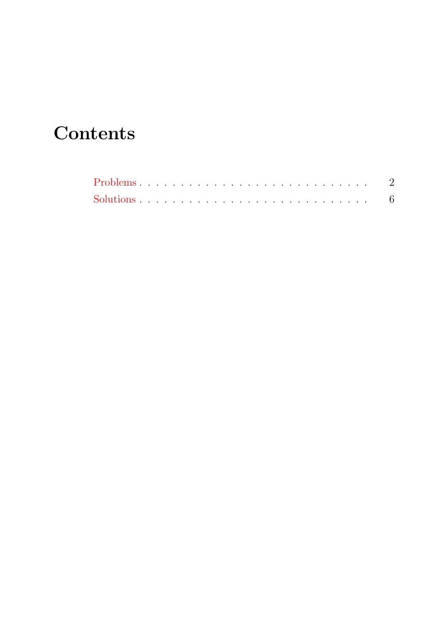# **Contents**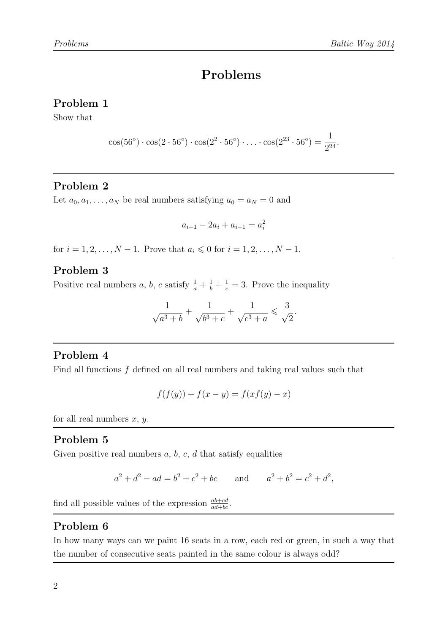#### <span id="page-1-0"></span>Problem 1

Show that

$$
\cos(56^{\circ}) \cdot \cos(2 \cdot 56^{\circ}) \cdot \cos(2^2 \cdot 56^{\circ}) \cdot \ldots \cdot \cos(2^{23} \cdot 56^{\circ}) = \frac{1}{2^{24}}.
$$

#### Problem 2

Let  $a_0, a_1, \ldots, a_N$  be real numbers satisfying  $a_0 = a_N = 0$  and

$$
a_{i+1} - 2a_i + a_{i-1} = a_i^2
$$

for  $i = 1, 2, ..., N - 1$ . Prove that  $a_i \le 0$  for  $i = 1, 2, ..., N - 1$ .

#### Problem 3

Positive real numbers a, b, c satisfy  $\frac{1}{a} + \frac{1}{b} + \frac{1}{c} = 3$ . Prove the inequality

$$
\frac{1}{\sqrt{a^3 + b}} + \frac{1}{\sqrt{b^3 + c}} + \frac{1}{\sqrt{c^3 + a}} \leqslant \frac{3}{\sqrt{2}}.
$$

#### Problem 4

Find all functions  $f$  defined on all real numbers and taking real values such that

$$
f(f(y)) + f(x - y) = f(xf(y) - x)
$$

for all real numbers  $x, y$ .

### Problem 5

Given positive real numbers  $a, b, c, d$  that satisfy equalities

$$
a^2 + d^2 - ad = b^2 + c^2 + bc
$$
 and  $a^2 + b^2 = c^2 + d^2$ ,

find all possible values of the expression  $\frac{ab+cd}{ad+bc}$ .

### Problem 6

In how many ways can we paint 16 seats in a row, each red or green, in such a way that the number of consecutive seats painted in the same colour is always odd?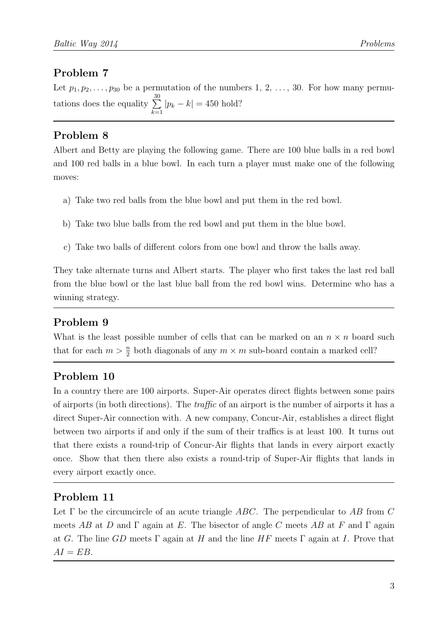Let  $p_1, p_2, \ldots, p_{30}$  be a permutation of the numbers 1, 2, ..., 30. For how many permutations does the equality  $\sum_{n=1}^{\infty}$  $k=1$  $|p_k - k| = 450$  hold?

### Problem 8

Albert and Betty are playing the following game. There are 100 blue balls in a red bowl and 100 red balls in a blue bowl. In each turn a player must make one of the following moves:

- a) Take two red balls from the blue bowl and put them in the red bowl.
- b) Take two blue balls from the red bowl and put them in the blue bowl.
- c) Take two balls of different colors from one bowl and throw the balls away.

They take alternate turns and Albert starts. The player who first takes the last red ball from the blue bowl or the last blue ball from the red bowl wins. Determine who has a winning strategy.

### Problem 9

What is the least possible number of cells that can be marked on an  $n \times n$  board such that for each  $m > \frac{n}{2}$  both diagonals of any  $m \times m$  sub-board contain a marked cell?

### Problem 10

In a country there are 100 airports. Super-Air operates direct flights between some pairs of airports (in both directions). The traffic of an airport is the number of airports it has a direct Super-Air connection with. A new company, Concur-Air, establishes a direct flight between two airports if and only if the sum of their traffics is at least 100. It turns out that there exists a round-trip of Concur-Air flights that lands in every airport exactly once. Show that then there also exists a round-trip of Super-Air flights that lands in every airport exactly once.

### Problem 11

Let  $\Gamma$  be the circumcircle of an acute triangle ABC. The perpendicular to AB from C meets AB at D and  $\Gamma$  again at E. The bisector of angle C meets AB at F and  $\Gamma$  again at G. The line GD meets  $\Gamma$  again at H and the line HF meets  $\Gamma$  again at I. Prove that  $AI = EB$ .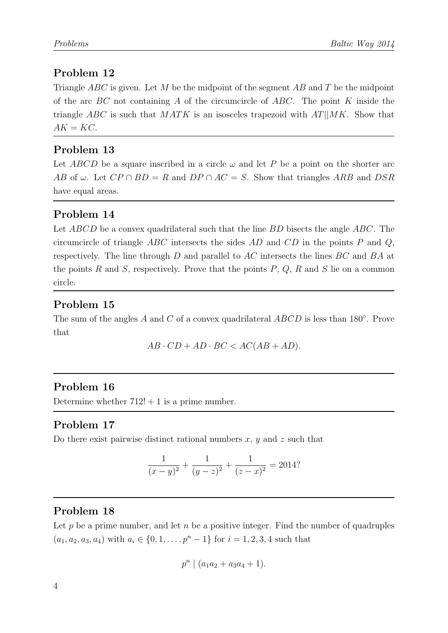Triangle  $ABC$  is given. Let M be the midpoint of the segment AB and T be the midpoint of the arc  $BC$  not containing A of the circumcircle of  $ABC$ . The point K inside the triangle ABC is such that  $MATK$  is an isosceles trapezoid with  $AT||MK$ . Show that  $AK = KC$ .

### Problem 13

Let ABCD be a square inscribed in a circle  $\omega$  and let P be a point on the shorter arc AB of  $\omega$ . Let  $CP \cap BD = R$  and  $DP \cap AC = S$ . Show that triangles ARB and DSR have equal areas.

### Problem 14

Let ABCD be a convex quadrilateral such that the line BD bisects the angle ABC. The circumcircle of triangle ABC intersects the sides AD and  $CD$  in the points P and Q, respectively. The line through D and parallel to AC intersects the lines BC and BA at the points R and S, respectively. Prove that the points  $P, Q, R$  and S lie on a common circle.

### Problem 15

The sum of the angles  $A$  and  $C$  of a convex quadrilateral  $ABCD$  is less than 180 $\degree$ . Prove that

 $AB \cdot CD + AD \cdot BC < AC(AB + AD)$ .

### Problem 16

Determine whether  $712! + 1$  is a prime number.

### Problem 17

Do there exist pairwise distinct rational numbers  $x, y$  and  $z$  such that

$$
\frac{1}{(x-y)^2} + \frac{1}{(y-z)^2} + \frac{1}{(z-x)^2} = 2014?
$$

### Problem 18

Let p be a prime number, and let n be a positive integer. Find the number of quadruples  $(a_1, a_2, a_3, a_4)$  with  $a_i \in \{0, 1, \ldots, p^n - 1\}$  for  $i = 1, 2, 3, 4$  such that

$$
p^n \mid (a_1a_2 + a_3a_4 + 1).
$$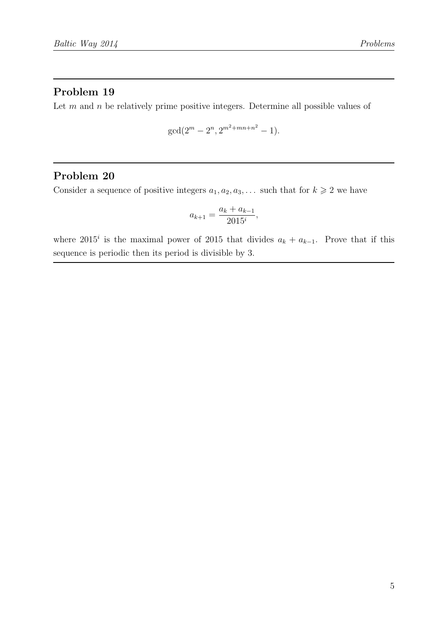Let  $m$  and  $n$  be relatively prime positive integers. Determine all possible values of

$$
\gcd(2^m - 2^n, 2^{m^2 + mn + n^2} - 1).
$$

#### Problem 20

Consider a sequence of positive integers  $a_1, a_2, a_3, \ldots$  such that for  $k \geq 2$  we have

$$
a_{k+1} = \frac{a_k + a_{k-1}}{2015^i},
$$

where 2015<sup>*i*</sup> is the maximal power of 2015 that divides  $a_k + a_{k-1}$ . Prove that if this sequence is periodic then its period is divisible by 3.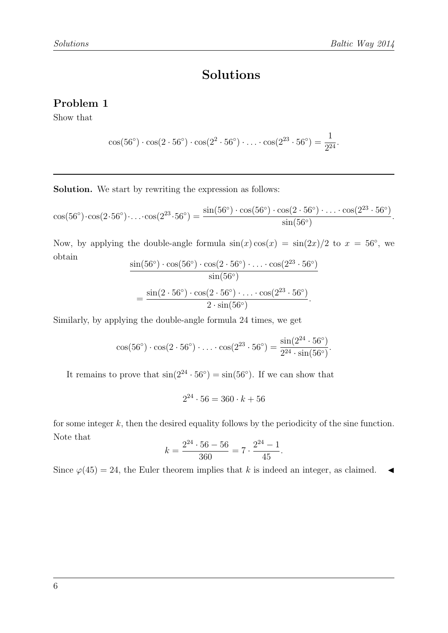### Solutions

### <span id="page-5-0"></span>Problem 1

Show that

$$
\cos(56^{\circ}) \cdot \cos(2 \cdot 56^{\circ}) \cdot \cos(2^2 \cdot 56^{\circ}) \cdot \ldots \cdot \cos(2^{23} \cdot 56^{\circ}) = \frac{1}{2^{24}}.
$$

Solution. We start by rewriting the expression as follows:

$$
\cos(56^\circ)\cdot\cos(2\cdot 56^\circ)\cdot\ldots\cdot\cos(2^{23}\cdot 56^\circ) = \frac{\sin(56^\circ)\cdot\cos(56^\circ)\cdot\cos(2\cdot 56^\circ)\cdot\ldots\cdot\cos(2^{23}\cdot 56^\circ)}{\sin(56^\circ)}.
$$

Now, by applying the double-angle formula  $sin(x) cos(x) = sin(2x)/2$  to  $x = 56°$ , we obtain

$$
\frac{\sin(56^\circ) \cdot \cos(56^\circ) \cdot \cos(2 \cdot 56^\circ) \cdot \ldots \cdot \cos(2^{23} \cdot 56^\circ)}{\sin(56^\circ)}
$$
  
= 
$$
\frac{\sin(2 \cdot 56^\circ) \cdot \cos(2 \cdot 56^\circ) \cdot \ldots \cdot \cos(2^{23} \cdot 56^\circ)}{2 \cdot \sin(56^\circ)}.
$$

Similarly, by applying the double-angle formula 24 times, we get

$$
\cos(56^{\circ}) \cdot \cos(2 \cdot 56^{\circ}) \cdot \ldots \cdot \cos(2^{23} \cdot 56^{\circ}) = \frac{\sin(2^{24} \cdot 56^{\circ})}{2^{24} \cdot \sin(56^{\circ})}.
$$

It remains to prove that  $\sin(2^{24} \cdot 56^{\circ}) = \sin(56^{\circ})$ . If we can show that

$$
2^{24} \cdot 56 = 360 \cdot k + 56
$$

for some integer  $k$ , then the desired equality follows by the periodicity of the sine function. Note that

$$
k = \frac{2^{24} \cdot 56 - 56}{360} = 7 \cdot \frac{2^{24} - 1}{45}.
$$

Since  $\varphi(45) = 24$ , the Euler theorem implies that k is indeed an integer, as claimed.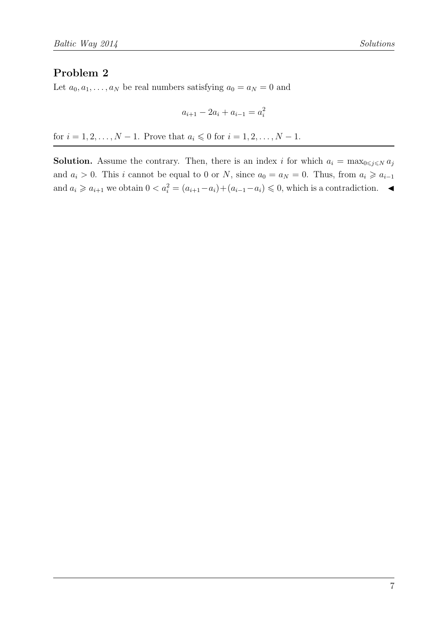Let  $a_0, a_1, \ldots, a_N$  be real numbers satisfying  $a_0 = a_N = 0$  and

$$
a_{i+1} - 2a_i + a_{i-1} = a_i^2
$$

for  $i = 1, 2, ..., N - 1$ . Prove that  $a_i \le 0$  for  $i = 1, 2, ..., N - 1$ .

**Solution.** Assume the contrary. Then, there is an index i for which  $a_i = \max_{0 \leq j \leq N} a_j$ and  $a_i > 0$ . This i cannot be equal to 0 or N, since  $a_0 = a_N = 0$ . Thus, from  $a_i \geq a_{i-1}$ and  $a_i \geq a_{i+1}$  we obtain  $0 < a_i^2 = (a_{i+1} - a_i) + (a_{i-1} - a_i) \leq 0$ , which is a contradiction.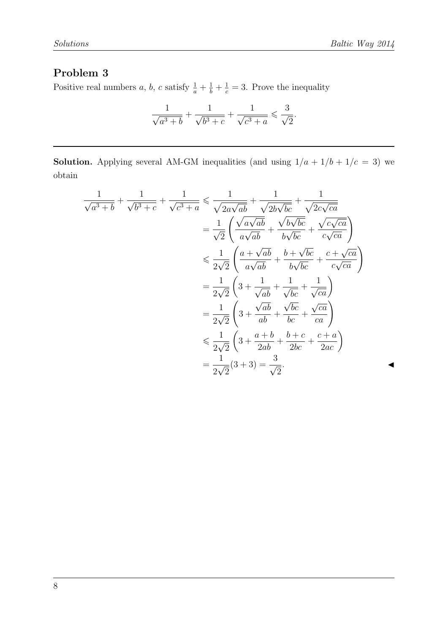Positive real numbers a, b, c satisfy  $\frac{1}{a} + \frac{1}{b} + \frac{1}{c} = 3$ . Prove the inequality

$$
\frac{1}{\sqrt{a^3+b}}+\frac{1}{\sqrt{b^3+c}}+\frac{1}{\sqrt{c^3+a}}\leqslant \frac{3}{\sqrt{2}}.
$$

**Solution.** Applying several AM-GM inequalities (and using  $1/a + 1/b + 1/c = 3$ ) we obtain

$$
\frac{1}{\sqrt{a^3+b}} + \frac{1}{\sqrt{b^3+c}} + \frac{1}{\sqrt{c^3+a}} \le \frac{1}{\sqrt{2a\sqrt{ab}}} + \frac{1}{\sqrt{2b\sqrt{bc}}} + \frac{1}{\sqrt{2c\sqrt{ca}}}
$$
\n
$$
= \frac{1}{\sqrt{2}} \left( \frac{\sqrt{a\sqrt{ab}}}{a\sqrt{ab}} + \frac{\sqrt{b\sqrt{bc}}}{b\sqrt{bc}} + \frac{\sqrt{c\sqrt{ca}}}{c\sqrt{ca}} \right)
$$
\n
$$
\le \frac{1}{2\sqrt{2}} \left( \frac{a+\sqrt{ab}}{a\sqrt{ab}} + \frac{b+\sqrt{bc}}{b\sqrt{bc}} + \frac{c+\sqrt{ca}}{c\sqrt{ca}} \right)
$$
\n
$$
= \frac{1}{2\sqrt{2}} \left( 3 + \frac{1}{\sqrt{ab}} + \frac{1}{\sqrt{bc}} + \frac{1}{\sqrt{ca}} \right)
$$
\n
$$
= \frac{1}{2\sqrt{2}} \left( 3 + \frac{\sqrt{ab}}{ab} + \frac{\sqrt{bc}}{bc} + \frac{\sqrt{ca}}{ca} \right)
$$
\n
$$
\le \frac{1}{2\sqrt{2}} \left( 3 + \frac{a+b}{2ab} + \frac{b+c}{2bc} + \frac{c+a}{2ac} \right)
$$
\n
$$
= \frac{1}{2\sqrt{2}} (3+3) = \frac{3}{\sqrt{2}}.
$$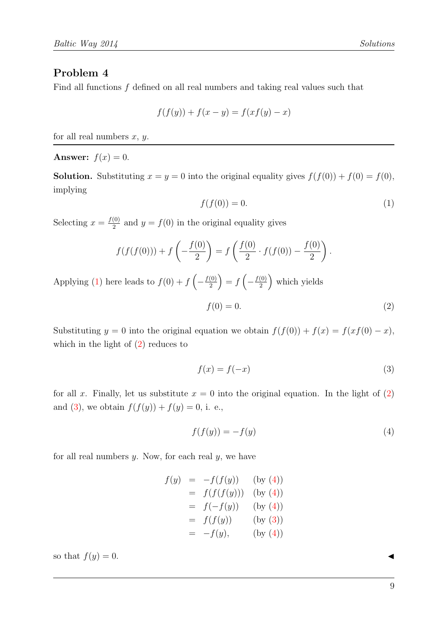Find all functions f defined on all real numbers and taking real values such that

$$
f(f(y)) + f(x - y) = f(xf(y) - x)
$$

for all real numbers  $x, y$ .

Answer:  $f(x) = 0$ .

<span id="page-8-0"></span>**Solution.** Substituting  $x = y = 0$  into the original equality gives  $f(f(0)) + f(0) = f(0)$ , implying

$$
f(f(0)) = 0.\t\t(1)
$$

Selecting  $x = \frac{f(0)}{2}$  $\frac{10}{2}$  and  $y = f(0)$  in the original equality gives

$$
f(f(f(0))) + f\left(-\frac{f(0)}{2}\right) = f\left(\frac{f(0)}{2} \cdot f(f(0)) - \frac{f(0)}{2}\right).
$$

Applying [\(1\)](#page-8-0) here leads to  $f(0) + f\left(-\frac{f(0)}{2}\right)$  $\binom{(0)}{2} = f\left(-\frac{f(0)}{2}\right)$  $\binom{(0)}{2}$  which yields

<span id="page-8-1"></span>
$$
f(0) = 0.\t\t(2)
$$

Substituting y = 0 into the original equation we obtain  $f(f(0)) + f(x) = f(xf(0) - x)$ , which in the light of  $(2)$  reduces to

<span id="page-8-3"></span><span id="page-8-2"></span>
$$
f(x) = f(-x) \tag{3}
$$

for all x. Finally, let us substitute  $x = 0$  into the original equation. In the light of [\(2\)](#page-8-1) and [\(3\)](#page-8-2), we obtain  $f(f(y)) + f(y) = 0$ , i. e.,

$$
f(f(y)) = -f(y) \tag{4}
$$

for all real numbers  $y$ . Now, for each real  $y$ , we have

$$
f(y) = -f(f(y)) \text{ (by (4))}
$$
  
=  $f(f(f(y)))$  (by (4))  
=  $f(-f(y))$  (by (4))  
=  $f(f(y))$  (by (3))  
=  $-f(y)$ , (by (4))

so that  $f(y) = 0$ .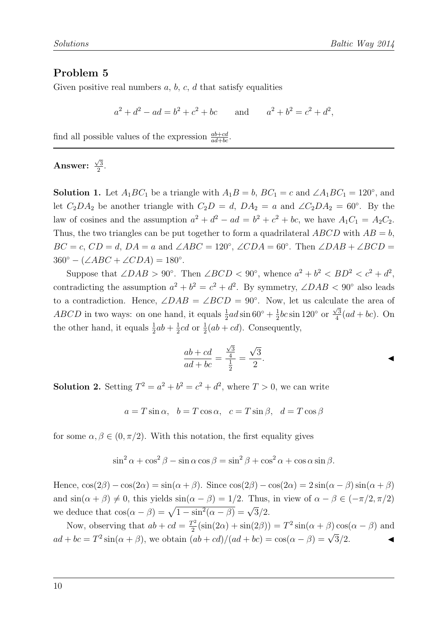Given positive real numbers  $a, b, c, d$  that satisfy equalities

 $a^2 + d^2 - ad = b^2 + c$ and  $b^2 + b^2 = c^2 + d^2$ ,

find all possible values of the expression  $\frac{ab+cd}{ad+bc}$ .

#### Answer:  $\sqrt{3}$  $\frac{73}{2}$ .

**Solution 1.** Let  $A_1BC_1$  be a triangle with  $A_1B = b$ ,  $BC_1 = c$  and  $\angle A_1BC_1 = 120^{\circ}$ , and let  $C_2DA_2$  be another triangle with  $C_2D = d$ ,  $DA_2 = a$  and  $\angle C_2DA_2 = 60^\circ$ . By the law of cosines and the assumption  $a^2 + d^2 - ad = b^2 + c^2 + bc$ , we have  $A_1C_1 = A_2C_2$ . Thus, the two triangles can be put together to form a quadrilateral  $ABCD$  with  $AB = b$ ,  $BC = c$ ,  $CD = d$ ,  $DA = a$  and  $\angle ABC = 120^{\circ}$ ,  $\angle CDA = 60^{\circ}$ . Then  $\angle DAB + \angle BCD =$  $360^{\circ} - (\angle ABC + \angle CDA) = 180^{\circ}.$ 

Suppose that  $\angle DAB > 90^\circ$ . Then  $\angle BCD < 90^\circ$ , whence  $a^2 + b^2 < BD^2 < c^2 + d^2$ , contradicting the assumption  $a^2 + b^2 = c^2 + d^2$ . By symmetry,  $\angle DAB < 90^\circ$  also leads to a contradiction. Hence,  $\angle DAB = \angle BCD = 90^{\circ}$ . Now, let us calculate the area of *ABCD* in two ways: on one hand, it equals  $\frac{1}{2}ad \sin 60^\circ + \frac{1}{2}$  $\frac{1}{2}bc \sin 120^\circ$  or  $\frac{\sqrt{3}}{4}$  $\frac{\sqrt{3}}{4}(ad+bc)$ . On the other hand, it equals  $\frac{1}{2}ab + \frac{1}{2}$  $\frac{1}{2}cd$  or  $\frac{1}{2}(ab+cd)$ . Consequently,

$$
\frac{ab + cd}{ad + bc} = \frac{\frac{\sqrt{3}}{4}}{\frac{1}{2}} = \frac{\sqrt{3}}{2}.
$$

**Solution 2.** Setting  $T^2 = a^2 + b^2 = c^2 + d^2$ , where  $T > 0$ , we can write

$$
a = T \sin \alpha
$$
,  $b = T \cos \alpha$ ,  $c = T \sin \beta$ ,  $d = T \cos \beta$ 

for some  $\alpha, \beta \in (0, \pi/2)$ . With this notation, the first equality gives

$$
\sin^2 \alpha + \cos^2 \beta - \sin \alpha \cos \beta = \sin^2 \beta + \cos^2 \alpha + \cos \alpha \sin \beta.
$$

Hence,  $\cos(2\beta) - \cos(2\alpha) = \sin(\alpha + \beta)$ . Since  $\cos(2\beta) - \cos(2\alpha) = 2\sin(\alpha - \beta)\sin(\alpha + \beta)$ and  $\sin(\alpha + \beta) \neq 0$ , this yields  $\sin(\alpha - \beta) = 1/2$ . Thus, in view of  $\alpha - \beta \in (-\pi/2, \pi/2)$ we deduce that  $\cos(\alpha - \beta) = \sqrt{1 - \sin^2(\alpha - \beta)} = \sqrt{3}/2$ .

Now, observing that  $ab + cd = \frac{T^2}{2}$  $\frac{T^2}{2}(\sin(2\alpha) + \sin(2\beta)) = T^2 \sin(\alpha + \beta) \cos(\alpha - \beta)$  and  $ad + bc = T^2 \sin(\alpha + \beta)$ , we obtain  $(ab + cd)/(ad + bc) = \cos(\alpha - \beta) = \sqrt{3}/2$ .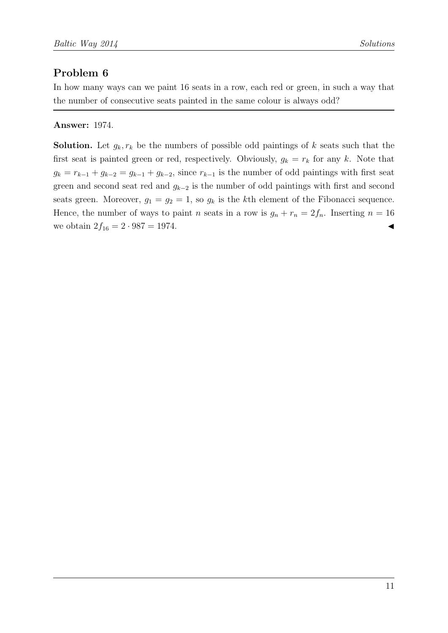In how many ways can we paint 16 seats in a row, each red or green, in such a way that the number of consecutive seats painted in the same colour is always odd?

### Answer: 1974.

**Solution.** Let  $g_k, r_k$  be the numbers of possible odd paintings of k seats such that the first seat is painted green or red, respectively. Obviously,  $g_k = r_k$  for any k. Note that  $g_k = r_{k-1} + g_{k-2} = g_{k-1} + g_{k-2}$ , since  $r_{k-1}$  is the number of odd paintings with first seat green and second seat red and  $g_{k-2}$  is the number of odd paintings with first and second seats green. Moreover,  $g_1 = g_2 = 1$ , so  $g_k$  is the kth element of the Fibonacci sequence. Hence, the number of ways to paint *n* seats in a row is  $g_n + r_n = 2f_n$ . Inserting  $n = 16$ we obtain  $2f_{16} = 2 \cdot 987 = 1974$ .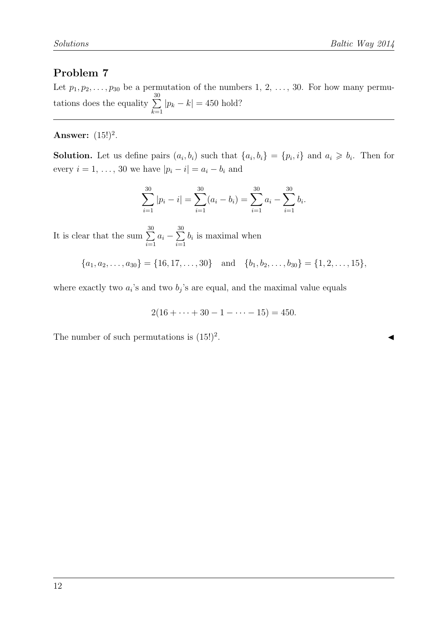Let  $p_1, p_2, \ldots, p_{30}$  be a permutation of the numbers 1, 2, ..., 30. For how many permutations does the equality  $\sum_{n=1}^{\infty}$  $k=1$  $|p_k - k| = 450$  hold?

#### Answer:  $(15!)^2$ .

**Solution.** Let us define pairs  $(a_i, b_i)$  such that  $\{a_i, b_i\} = \{p_i, i\}$  and  $a_i \geq b_i$ . Then for every  $i = 1, ..., 30$  we have  $|p_i - i| = a_i - b_i$  and

$$
\sum_{i=1}^{30} |p_i - i| = \sum_{i=1}^{30} (a_i - b_i) = \sum_{i=1}^{30} a_i - \sum_{i=1}^{30} b_i.
$$

It is clear that the sum  $\sum_{ }^{ 30}$  $i=1$  $a_i - \sum^{30}$  $i=1$  $b_i$  is maximal when

$$
\{a_1, a_2, \ldots, a_{30}\} = \{16, 17, \ldots, 30\} \text{ and } \{b_1, b_2, \ldots, b_{30}\} = \{1, 2, \ldots, 15\},\
$$

where exactly two  $a_i$ 's and two  $b_j$ 's are equal, and the maximal value equals

$$
2(16 + \dots + 30 - 1 - \dots - 15) = 450.
$$

The number of such permutations is  $(15!)^2$ .

. J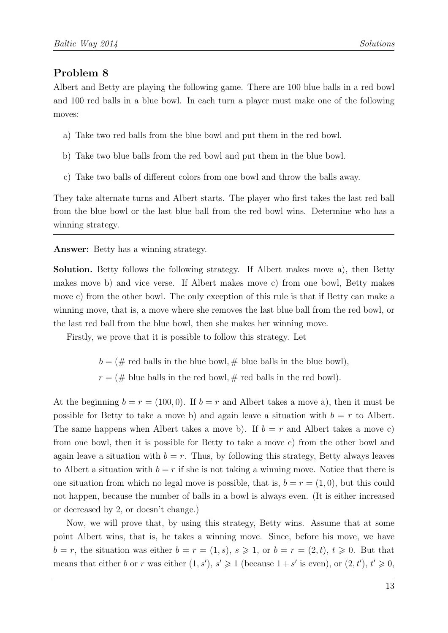Albert and Betty are playing the following game. There are 100 blue balls in a red bowl and 100 red balls in a blue bowl. In each turn a player must make one of the following moves:

- a) Take two red balls from the blue bowl and put them in the red bowl.
- b) Take two blue balls from the red bowl and put them in the blue bowl.
- c) Take two balls of different colors from one bowl and throw the balls away.

They take alternate turns and Albert starts. The player who first takes the last red ball from the blue bowl or the last blue ball from the red bowl wins. Determine who has a winning strategy.

Answer: Betty has a winning strategy.

Solution. Betty follows the following strategy. If Albert makes move a), then Betty makes move b) and vice verse. If Albert makes move c) from one bowl, Betty makes move c) from the other bowl. The only exception of this rule is that if Betty can make a winning move, that is, a move where she removes the last blue ball from the red bowl, or the last red ball from the blue bowl, then she makes her winning move.

Firstly, we prove that it is possible to follow this strategy. Let

 $b = (\# \text{ red balls in the blue bowl}, \# \text{ blue balls in the blue bowl}),$ 

 $r = (\#$  blue balls in the red bowl,  $\#$  red balls in the red bowl).

At the beginning  $b = r = (100, 0)$ . If  $b = r$  and Albert takes a move a), then it must be possible for Betty to take a move b) and again leave a situation with  $b = r$  to Albert. The same happens when Albert takes a move b). If  $b = r$  and Albert takes a move c) from one bowl, then it is possible for Betty to take a move c) from the other bowl and again leave a situation with  $b = r$ . Thus, by following this strategy, Betty always leaves to Albert a situation with  $b = r$  if she is not taking a winning move. Notice that there is one situation from which no legal move is possible, that is,  $b = r = (1, 0)$ , but this could not happen, because the number of balls in a bowl is always even. (It is either increased or decreased by 2, or doesn't change.)

Now, we will prove that, by using this strategy, Betty wins. Assume that at some point Albert wins, that is, he takes a winning move. Since, before his move, we have  $b = r$ , the situation was either  $b = r = (1, s)$ ,  $s \geq 1$ , or  $b = r = (2, t)$ ,  $t \geq 0$ . But that means that either b or r was either  $(1, s')$ ,  $s' \geq 1$  (because  $1 + s'$  is even), or  $(2, t')$ ,  $t' \geq 0$ ,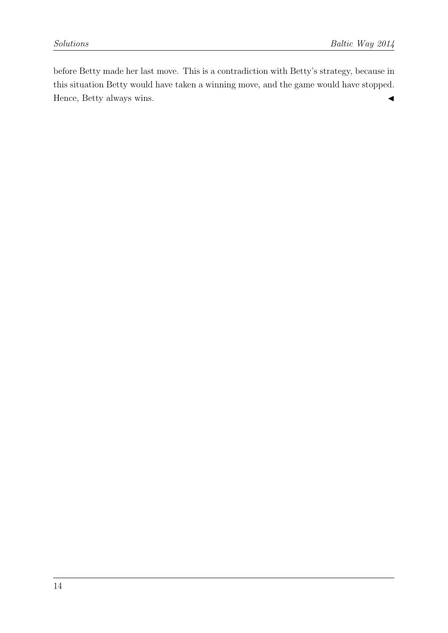before Betty made her last move. This is a contradiction with Betty's strategy, because in this situation Betty would have taken a winning move, and the game would have stopped. Hence, Betty always wins.  $\blacktriangleleft$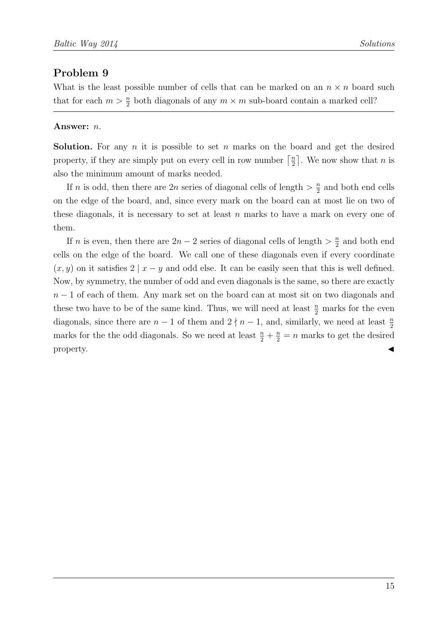What is the least possible number of cells that can be marked on an  $n \times n$  board such that for each  $m > \frac{n}{2}$  both diagonals of any  $m \times m$  sub-board contain a marked cell?

#### Answer: n.

**Solution.** For any  $n$  it is possible to set  $n$  marks on the board and get the desired property, if they are simply put on every cell in row number  $\lceil \frac{n}{2} \rceil$  $\frac{n}{2}$ . We now show that *n* is also the minimum amount of marks needed.

If *n* is odd, then there are 2*n* series of diagonal cells of length  $> \frac{n}{2}$  $\frac{n}{2}$  and both end cells on the edge of the board, and, since every mark on the board can at most lie on two of these diagonals, it is necessary to set at least  $n$  marks to have a mark on every one of them.

If n is even, then there are  $2n-2$  series of diagonal cells of length  $\geq \frac{n}{2}$  $\frac{n}{2}$  and both end cells on the edge of the board. We call one of these diagonals even if every coordinate  $(x, y)$  on it satisfies 2 |  $x - y$  and odd else. It can be easily seen that this is well defined. Now, by symmetry, the number of odd and even diagonals is the same, so there are exactly  $n-1$  of each of them. Any mark set on the board can at most sit on two diagonals and these two have to be of the same kind. Thus, we will need at least  $\frac{n}{2}$  marks for the even diagonals, since there are  $n-1$  of them and  $2 \nmid n-1$ , and, similarly, we need at least  $\frac{n}{2}$ marks for the the odd diagonals. So we need at least  $\frac{n}{2} + \frac{n}{2} = n$  marks to get the desired property.  $\triangleleft$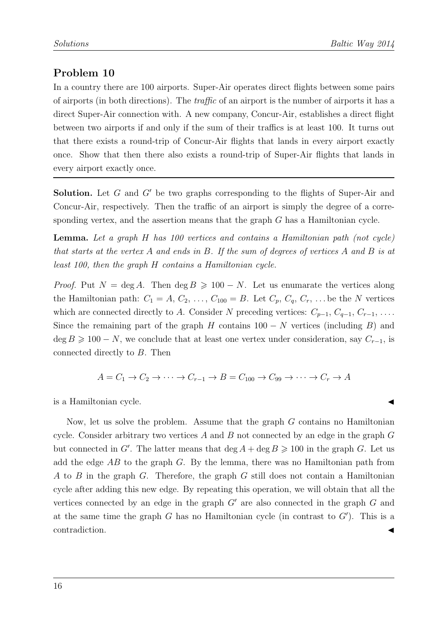In a country there are 100 airports. Super-Air operates direct flights between some pairs of airports (in both directions). The traffic of an airport is the number of airports it has a direct Super-Air connection with. A new company, Concur-Air, establishes a direct flight between two airports if and only if the sum of their traffics is at least 100. It turns out that there exists a round-trip of Concur-Air flights that lands in every airport exactly once. Show that then there also exists a round-trip of Super-Air flights that lands in every airport exactly once.

**Solution.** Let G and  $G'$  be two graphs corresponding to the flights of Super-Air and Concur-Air, respectively. Then the traffic of an airport is simply the degree of a corresponding vertex, and the assertion means that the graph G has a Hamiltonian cycle.

Lemma. Let a graph H has 100 vertices and contains a Hamiltonian path (not cycle) that starts at the vertex A and ends in B. If the sum of degrees of vertices A and B is at least 100, then the graph H contains a Hamiltonian cycle.

*Proof.* Put  $N = \deg A$ . Then  $\deg B \ge 100 - N$ . Let us enumarate the vertices along the Hamiltonian path:  $C_1 = A, C_2, \ldots, C_{100} = B$ . Let  $C_p, C_q, C_r, \ldots$  be the N vertices which are connected directly to A. Consider N preceding vertices:  $C_{p-1}, C_{q-1}, C_{r-1}, \ldots$ Since the remaining part of the graph H contains  $100 - N$  vertices (including B) and  $\deg B \geq 100 - N$ , we conclude that at least one vertex under consideration, say  $C_{r-1}$ , is connected directly to B. Then

$$
A = C_1 \rightarrow C_2 \rightarrow \cdots \rightarrow C_{r-1} \rightarrow B = C_{100} \rightarrow C_{99} \rightarrow \cdots \rightarrow C_r \rightarrow A
$$

is a Hamiltonian cycle.

Now, let us solve the problem. Assume that the graph G contains no Hamiltonian cycle. Consider arbitrary two vertices  $A$  and  $B$  not connected by an edge in the graph  $G$ but connected in G'. The latter means that  $\deg A + \deg B \geq 100$  in the graph G. Let us add the edge  $AB$  to the graph G. By the lemma, there was no Hamiltonian path from A to B in the graph G. Therefore, the graph G still does not contain a Hamiltonian cycle after adding this new edge. By repeating this operation, we will obtain that all the vertices connected by an edge in the graph  $G'$  are also connected in the graph  $G$  and at the same time the graph  $G$  has no Hamiltonian cycle (in contrast to  $G'$ ). This is a contradiction.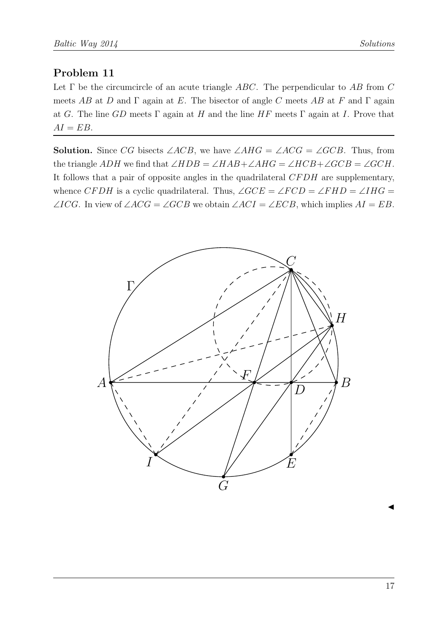Let  $\Gamma$  be the circumcircle of an acute triangle ABC. The perpendicular to AB from C meets AB at D and  $\Gamma$  again at E. The bisector of angle C meets AB at F and  $\Gamma$  again at G. The line GD meets  $\Gamma$  again at H and the line HF meets  $\Gamma$  again at I. Prove that  $AI = EB$ .

**Solution.** Since CG bisects  $\angle ACB$ , we have  $\angle AHG = \angle ACG = \angle GCB$ . Thus, from the triangle ADH we find that  $\angle HDB = \angle HAB + \angle AHG = \angle HCB + \angle GCB = \angle GCH$ . It follows that a pair of opposite angles in the quadrilateral CFDH are supplementary, whence CFDH is a cyclic quadrilateral. Thus,  $\angle GCE = \angle FCD = \angle FHD = \angle IHG =$ ∠ICG. In view of  $\angle ACG = \angle GCB$  we obtain  $\angle ACI = \angle ECB$ , which implies  $AI = EB$ .

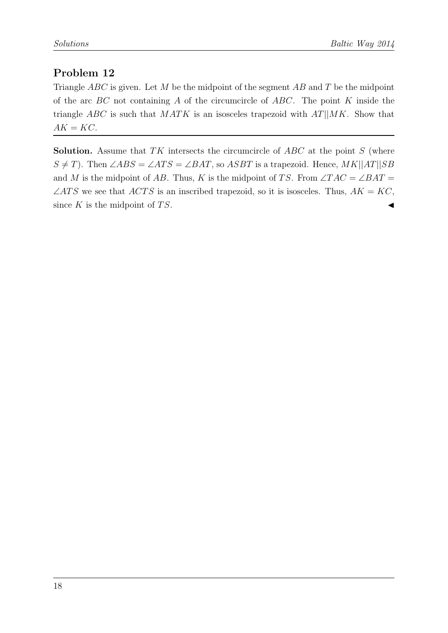Triangle  $ABC$  is given. Let M be the midpoint of the segment AB and T be the midpoint of the arc  $BC$  not containing A of the circumcircle of  $ABC$ . The point K inside the triangle ABC is such that  $MATK$  is an isosceles trapezoid with  $AT||MK$ . Show that  $AK = KC$ .

**Solution.** Assume that TK intersects the circumcircle of  $ABC$  at the point S (where  $S \neq T$ ). Then ∠ABS = ∠ATS = ∠BAT, so ASBT is a trapezoid. Hence, MK||AT||SB and M is the midpoint of AB. Thus, K is the midpoint of TS. From  $\angle TAC = \angle BAT =$  $\angle ATS$  we see that  $\angle ATS$  is an inscribed trapezoid, so it is isosceles. Thus,  $AK = KC$ , since  $K$  is the midpoint of  $TS$ .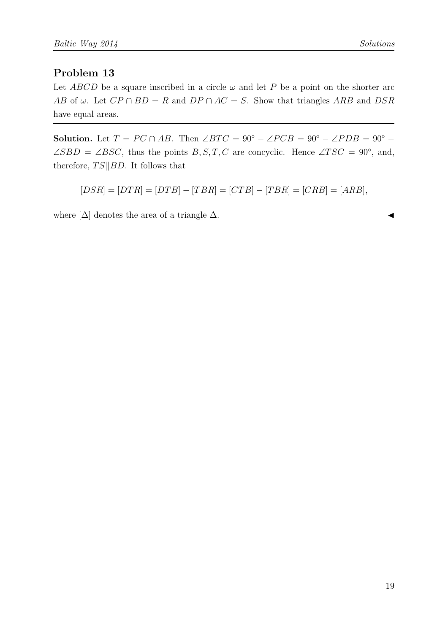Let ABCD be a square inscribed in a circle  $\omega$  and let P be a point on the shorter arc AB of  $\omega$ . Let  $CP \cap BD = R$  and  $DP \cap AC = S$ . Show that triangles ARB and DSR have equal areas.

Solution. Let  $T = PC \cap AB$ . Then  $\angle BTC = 90^\circ - \angle PCB = 90^\circ - \angle PDB = 90^\circ - \angle PDB = 90^\circ - \angle PDB = 90^\circ - \angle PDB = 90^\circ - \angle PDB = 90^\circ - \angle PDB = 90^\circ - \angle PDB = 90^\circ - \angle PDB = 90^\circ - \angle PDB = 90^\circ - \angle PDB = 90^\circ - \angle PDB = 90^\circ - \angle PDB = 90^\circ - \angle PDB = 90^\circ - \angle PDB = 90^\circ - \angle PDB = 90^\circ - \angle PDB$  $\angle SBD = \angle BSC$ , thus the points B, S, T, C are concyclic. Hence  $\angle TSC = 90^{\circ}$ , and, therefore,  $TS||BD$ . It follows that

$$
[DSR] = [DTR] = [DTB] - [TBR] = [CTB] - [TBR] = [CRB] = [ARB],
$$

where  $[\Delta]$  denotes the area of a triangle  $\Delta$ .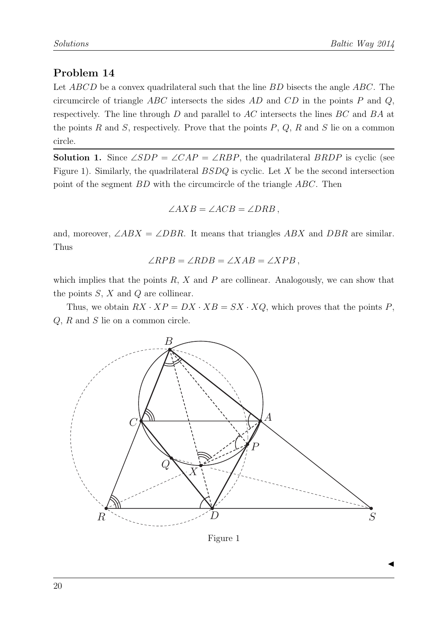Let ABCD be a convex quadrilateral such that the line BD bisects the angle ABC. The circumcircle of triangle  $ABC$  intersects the sides  $AD$  and  $CD$  in the points P and Q, respectively. The line through D and parallel to AC intersects the lines BC and BA at the points R and S, respectively. Prove that the points  $P, Q, R$  and S lie on a common circle.

**Solution 1.** Since  $\angle SDP = \angle CAP = \angle RBP$ , the quadrilateral BRDP is cyclic (see Figure 1). Similarly, the quadrilateral  $BSDQ$  is cyclic. Let  $X$  be the second intersection point of the segment BD with the circumcircle of the triangle ABC. Then

$$
\angle AXB = \angle ACB = \angle DRB,
$$

and, moreover,  $\angle ABX = \angle DBR$ . It means that triangles ABX and DBR are similar. Thus

$$
\angle RPB = \angle RDB = \angle XAB = \angle XPB,
$$

which implies that the points  $R$ ,  $X$  and  $P$  are collinear. Analogously, we can show that the points  $S, X$  and  $Q$  are collinear.

Thus, we obtain  $RX \cdot XP = DX \cdot XB = SX \cdot XQ$ , which proves that the points P, Q, R and S lie on a common circle.



Figure 1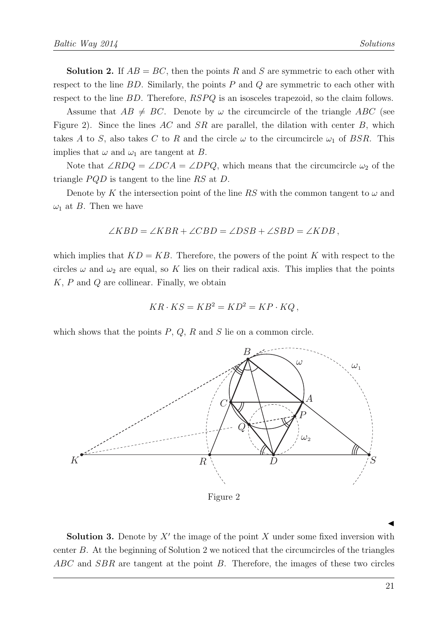**Solution 2.** If  $AB = BC$ , then the points R and S are symmetric to each other with respect to the line  $BD$ . Similarly, the points  $P$  and  $Q$  are symmetric to each other with respect to the line BD. Therefore,  $RSPQ$  is an isosceles trapezoid, so the claim follows.

Assume that  $AB \neq BC$ . Denote by  $\omega$  the circumcircle of the triangle ABC (see Figure 2). Since the lines  $AC$  and  $SR$  are parallel, the dilation with center B, which takes A to S, also takes C to R and the circle  $\omega$  to the circumcircle  $\omega_1$  of BSR. This implies that  $\omega$  and  $\omega_1$  are tangent at B.

Note that  $\angle RDQ = \angle DCA = \angle DPQ$ , which means that the circumcircle  $\omega_2$  of the triangle  $PQD$  is tangent to the line RS at D.

Denote by K the intersection point of the line RS with the common tangent to  $\omega$  and  $\omega_1$  at B. Then we have

$$
\angle KBD = \angle KBR + \angle CBD = \angle DSB + \angle SBD = \angle KDB,
$$

which implies that  $KD = KB$ . Therefore, the powers of the point K with respect to the circles  $\omega$  and  $\omega_2$  are equal, so K lies on their radical axis. This implies that the points  $K, P$  and  $Q$  are collinear. Finally, we obtain

$$
KR \cdot KS = KB^2 = KD^2 = KP \cdot KQ,
$$

which shows that the points  $P, Q, R$  and  $S$  lie on a common circle.



 $\blacktriangleleft$ 

**Solution 3.** Denote by  $X'$  the image of the point X under some fixed inversion with center B. At the beginning of Solution 2 we noticed that the circumcircles of the triangles  $ABC$  and  $SBR$  are tangent at the point B. Therefore, the images of these two circles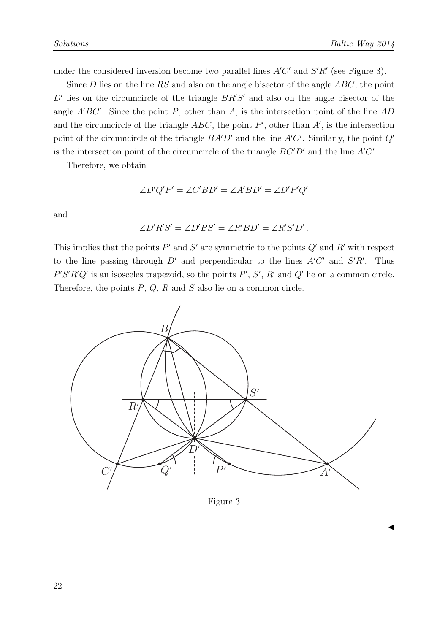$\blacktriangleleft$ 

under the considered inversion become two parallel lines  $A'C'$  and  $S'R'$  (see Figure 3).

Since  $D$  lies on the line RS and also on the angle bisector of the angle  $ABC$ , the point  $D'$  lies on the circumcircle of the triangle  $BR'S'$  and also on the angle bisector of the angle  $A'BC'$ . Since the point P, other than A, is the intersection point of the line  $AD$ and the circumcircle of the triangle  $ABC$ , the point  $P'$ , other than  $A'$ , is the intersection point of the circumcircle of the triangle  $BA'D'$  and the line  $A'C'$ . Similarly, the point  $Q'$ is the intersection point of the circumcircle of the triangle  $BC'D'$  and the line  $A'C'$ .

Therefore, we obtain

$$
\angle D'Q'P' = \angle C'BD' = \angle A'BD' = \angle D'P'Q'
$$

and

$$
\angle D'R'S' = \angle D'BS' = \angle R'BD' = \angle R'S'D'.
$$

This implies that the points  $P'$  and  $S'$  are symmetric to the points  $Q'$  and  $R'$  with respect to the line passing through  $D'$  and perpendicular to the lines  $A'C'$  and  $S'R'$ . Thus  $P'S'R'Q'$  is an isosceles trapezoid, so the points  $P', S', R'$  and  $Q'$  lie on a common circle. Therefore, the points  $P$ ,  $Q$ ,  $R$  and  $S$  also lie on a common circle.



Figure 3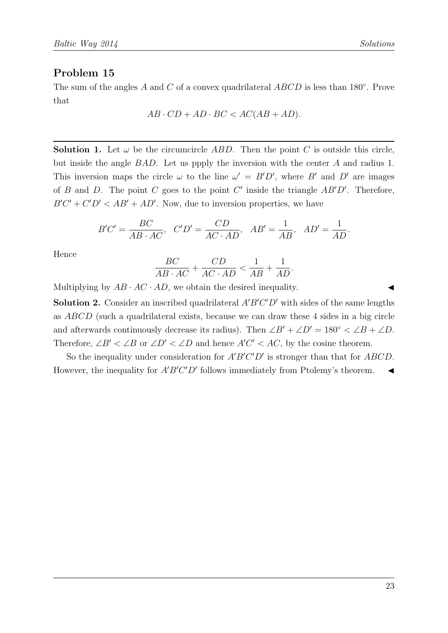The sum of the angles A and C of a convex quadrilateral  $ABCD$  is less than 180 $^{\circ}$ . Prove that

$$
AB \cdot CD + AD \cdot BC < AC(AB + AD).
$$

**Solution 1.** Let  $\omega$  be the circumcircle ABD. Then the point C is outside this circle, but inside the angle BAD. Let us ppply the inversion with the center A and radius 1. This inversion maps the circle  $\omega$  to the line  $\omega' = B'D'$ , where B' and D' are images of B and D. The point C goes to the point C' inside the triangle  $AB'D'$ . Therefore,  $B'C' + C'D' < AB' + AD'$ . Now, due to inversion properties, we have

$$
B'C' = \frac{BC}{AB \cdot AC}, \quad C'D' = \frac{CD}{AC \cdot AD}, \quad AB' = \frac{1}{AB}, \quad AD' = \frac{1}{AD}.
$$

Hence

$$
\frac{BC}{AB \cdot AC} + \frac{CD}{AC \cdot AD} < \frac{1}{AB} + \frac{1}{AD}.
$$

Multiplying by  $AB \cdot AC \cdot AD$ , we obtain the desired inequality.

**Solution 2.** Consider an inscribed quadrilateral  $A'B'C'D'$  with sides of the same lengths as ABCD (such a quadrilateral exists, because we can draw these 4 sides in a big circle and afterwards continuously decrease its radius). Then  $\angle B' + \angle D' = 180^\circ < \angle B + \angle D$ . Therefore,  $\angle B' < \angle B$  or  $\angle D' < \angle D$  and hence  $A'C' < AC$ , by the cosine theorem.

So the inequality under consideration for  $A'B'C'D'$  is stronger than that for  $ABCD$ . However, the inequality for  $A'B'C'D'$  follows immediately from Ptolemy's theorem.  $\triangleleft$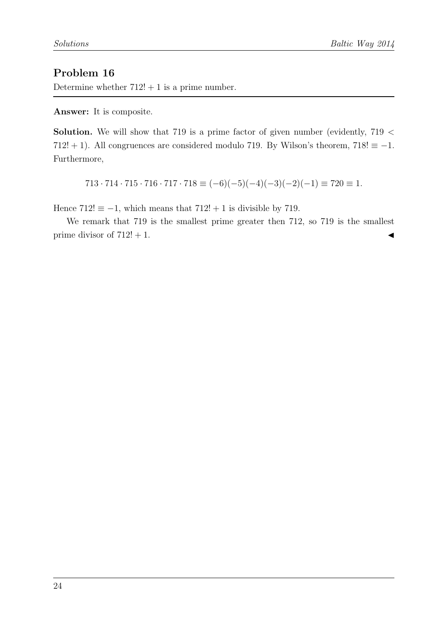Determine whether  $712! + 1$  is a prime number.

Answer: It is composite.

**Solution.** We will show that 719 is a prime factor of given number (evidently,  $719 <$ 712! + 1). All congruences are considered modulo 719. By Wilson's theorem, 718!  $\equiv -1$ . Furthermore,

$$
713 \cdot 714 \cdot 715 \cdot 716 \cdot 717 \cdot 718 \equiv (-6)(-5)(-4)(-3)(-2)(-1) \equiv 720 \equiv 1.
$$

Hence  $712! \equiv -1$ , which means that  $712! + 1$  is divisible by 719.

We remark that 719 is the smallest prime greater then 712, so 719 is the smallest prime divisor of  $712! + 1$ .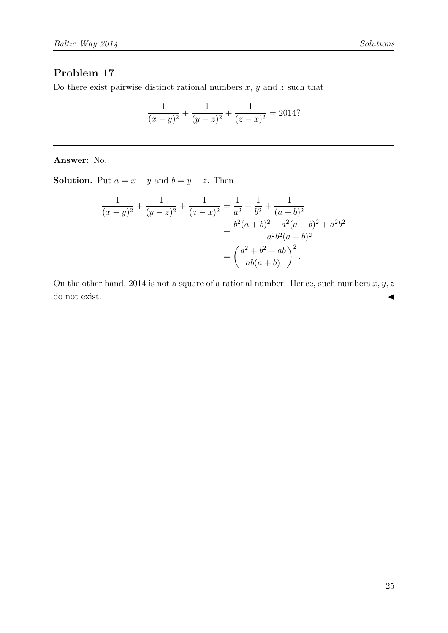Do there exist pairwise distinct rational numbers  $x, y$  and  $z$  such that

$$
\frac{1}{(x-y)^2} + \frac{1}{(y-z)^2} + \frac{1}{(z-x)^2} = 2014?
$$

Answer: No.

**Solution.** Put  $a = x - y$  and  $b = y - z$ . Then

$$
\frac{1}{(x-y)^2} + \frac{1}{(y-z)^2} + \frac{1}{(z-x)^2} = \frac{1}{a^2} + \frac{1}{b^2} + \frac{1}{(a+b)^2}
$$

$$
= \frac{b^2(a+b)^2 + a^2(a+b)^2 + a^2b^2}{a^2b^2(a+b)^2}
$$

$$
= \left(\frac{a^2 + b^2 + ab}{ab(a+b)}\right)^2.
$$

On the other hand, 2014 is not a square of a rational number. Hence, such numbers  $x, y, z$ do not exist.  $\triangleleft$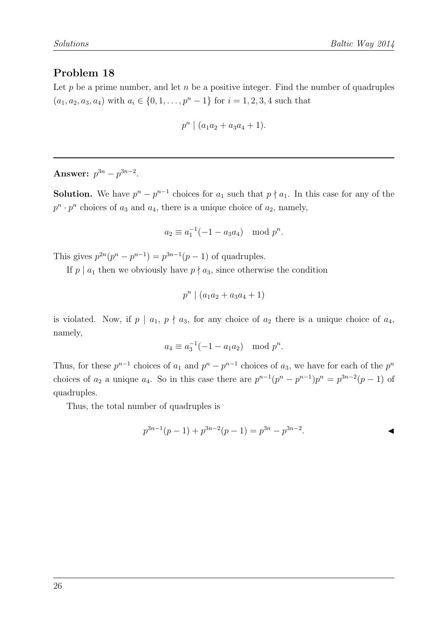Let  $p$  be a prime number, and let  $n$  be a positive integer. Find the number of quadruples  $(a_1, a_2, a_3, a_4)$  with  $a_i \in \{0, 1, \ldots, p^n - 1\}$  for  $i = 1, 2, 3, 4$  such that

$$
p^n \mid (a_1a_2 + a_3a_4 + 1).
$$

Answer:  $p^{3n} - p^{3n-2}$ .

**Solution.** We have  $p^{n} - p^{n-1}$  choices for  $a_1$  such that  $p \nmid a_1$ . In this case for any of the  $p^n \cdot p^n$  choices of  $a_3$  and  $a_4$ , there is a unique choice of  $a_2$ , namely,

$$
a_2 \equiv a_1^{-1}(-1 - a_3 a_4) \mod p^n.
$$

This gives  $p^{2n}(p^n - p^{n-1}) = p^{3n-1}(p-1)$  of quadruples.

If  $p \mid a_1$  then we obviously have  $p \nmid a_3$ , since otherwise the condition

$$
p^n \mid (a_1a_2 + a_3a_4 + 1)
$$

is violated. Now, if  $p \mid a_1, p \nmid a_3$ , for any choice of  $a_2$  there is a unique choice of  $a_4$ , namely,

$$
a_4 \equiv a_3^{-1}(-1 - a_1 a_2) \mod p^n.
$$

Thus, for these  $p^{n-1}$  choices of  $a_1$  and  $p^n - p^{n-1}$  choices of  $a_3$ , we have for each of the  $p^n$ choices of  $a_2$  a unique  $a_4$ . So in this case there are  $p^{n-1}(p^n - p^{n-1})p^n = p^{3n-2}(p-1)$  of quadruples.

Thus, the total number of quadruples is

$$
p^{3n-1}(p-1) + p^{3n-2}(p-1) = p^{3n} - p^{3n-2}.
$$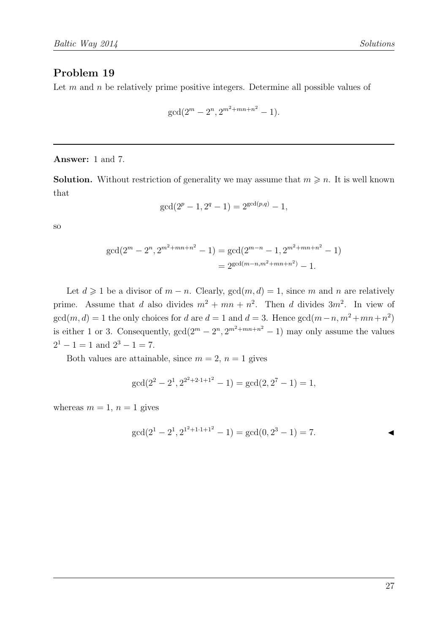Let  $m$  and  $n$  be relatively prime positive integers. Determine all possible values of

$$
\gcd(2^m - 2^n, 2^{m^2 + mn + n^2} - 1).
$$

Answer: 1 and 7.

**Solution.** Without restriction of generality we may assume that  $m \geq n$ . It is well known that

$$
\gcd(2^p - 1, 2^q - 1) = 2^{\gcd(p,q)} - 1,
$$

so

$$
gcd(2m - 2n, 2m2+mn+n2 - 1) = gcd(2m-n - 1, 2m2+mn+n2 - 1)
$$
  
= 2<sup>gcd(m-n,m<sup>2</sup>+mn+n<sup>2</sup>) - 1.</sup>

Let  $d \geq 1$  be a divisor of  $m - n$ . Clearly,  $gcd(m, d) = 1$ , since m and n are relatively prime. Assume that d also divides  $m^2 + mn + n^2$ . Then d divides  $3m^2$ . In view of  $gcd(m, d) = 1$  the only choices for d are  $d = 1$  and  $d = 3$ . Hence  $gcd(m-n, m^2 + mn + n^2)$ is either 1 or 3. Consequently,  $gcd(2^m - 2^n, 2^{m^2 + mn + n^2} - 1)$  may only assume the values  $2^1 - 1 = 1$  and  $2^3 - 1 = 7$ .

Both values are attainable, since  $m = 2$ ,  $n = 1$  gives

$$
\gcd(2^2 - 2^1, 2^{2^2 + 2 \cdot 1 + 1^2} - 1) = \gcd(2, 2^7 - 1) = 1,
$$

whereas  $m = 1$ ,  $n = 1$  gives

$$
\gcd(2^1 - 2^1, 2^{1^2 + 1 \cdot 1 + 1^2} - 1) = \gcd(0, 2^3 - 1) = 7.
$$